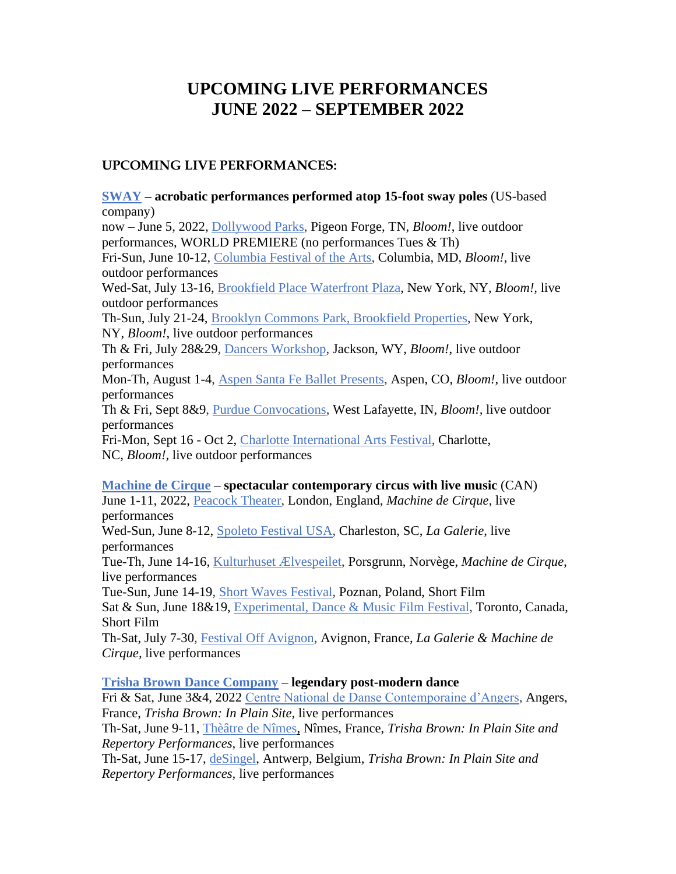# **UPCOMING LIVE PERFORMANCES JUNE 2022 – SEPTEMBER 2022**

# **UPCOMING LIVE PERFORMANCES:**

**[SWAY](https://www.elsieman.org/artist-roster/sway/) – acrobatic performances performed atop 15-foot sway poles** (US-based company) now – June 5, 2022, [Dollywood Parks,](https://www.dollywood.com/themepark/Festivals/Flower-and-Food) Pigeon Forge, TN, *Bloom!*, live outdoor performances, WORLD PREMIERE (no performances Tues & Th) Fri-Sun, June 10-12, [Columbia Festival of the Arts,](https://columbiafestival.org/lakefest-free-weekend/) Columbia, MD, *Bloom!*, live outdoor performances Wed-Sat, July 13-16, Brookfield Place [Waterfront Plaza,](https://bfplny.com/event/sways-bloom/) New York, NY, *Bloom!,* live outdoor performances Th-Sun, July 21-24, Brooklyn Commons Park, [Brookfield Properties,](https://brooklyncommons.com/calendar/sways-bloom) New York, NY, *Bloom!*, live outdoor performances Th & Fri, July 28&29, [Dancers Workshop,](https://www.dwjh.org/) Jackson, WY, *Bloom!*, live outdoor performances Mon-Th, August 1-4, [Aspen Santa Fe Ballet Presents,](http://www.aspensantafeballet.com/performances/asfb-presents.html) Aspen, CO, *Bloom!,* live outdoor performances Th & Fri, Sept 8&9, [Purdue Convocations,](https://www.purdue.edu/convocations/events/) West Lafayette, IN, *Bloom!,* live outdoor performances Fri-Mon, Sept 16 - Oct 2, [Charlotte International Arts Festival,](https://www.charlotteartsfest.com/) Charlotte, NC, *Bloom!,* live outdoor performances **[Machine de Cirque](https://www.elsieman.org/artist-roster/machine-de-cirque/) – spectacular contemporary circus with live music** (CAN) June 1-11, 2022, [Peacock Theater,](https://www.sadlerswells.com/whats-on/machine-de-cirque/) London, England, *Machine de Cirque*, live performances

Wed-Sun, June 8-12, [Spoleto Festival USA,](https://spoletousa.org/events/machine-de-cirque/) Charleston, SC, *La Galerie*, live performances

Tue-Th, June 14-16, [Kulturhuset Ælvespeilet,](https://tix.no/nb/elvespeilet/buyingflow/tickets/16202/) Porsgrunn, Norvège, *Machine de Cirque*, live performances

Tue-Sun, June 14-19, [Short Waves Festival,](https://shortwaves.pl/en/) Poznan, Poland, Short Film Sat & Sun, June 18&19, [Experimental, Dance & Music Film Festival,](https://experimentalfilmfestival.com/) Toronto, Canada, Short Film

Th-Sat, July 7-30, [Festival Off Avignon,](https://www.offavignon.com/) Avignon, France, *La Galerie & Machine de Cirque,* live performances

# **[Trisha Brown Dance Company](http://www.elsieman.org/artist-roster/trisha-brown-dance-company/) – legendary post-modern dance**

Fri & Sat, June 3&4, 2022 [Centre National de Danse Contemporaine d'Angers,](https://cndc.fr/fr/programmation/calendrier/in-plain-sites) Angers, France, *Trisha Brown: In Plain Site,* live performances

Th-Sat, June 9-11, [Thèâtre de Nîmes,](https://theatredenimes.com/trisha-brown%e2%80%89-in-plain-site/) Nîmes, France, *Trisha Brown: In Plain Site and Repertory Performances,* live performances

Th-Sat, June 15-17, [deSingel,](https://desingel.be/en/programme/dance/trisha-brown-dance-company-watermotor-glacial-decoy-astral-converted-trisha-brown-in-plain-site) Antwerp, Belgium, *Trisha Brown: In Plain Site and Repertory Performances,* live performances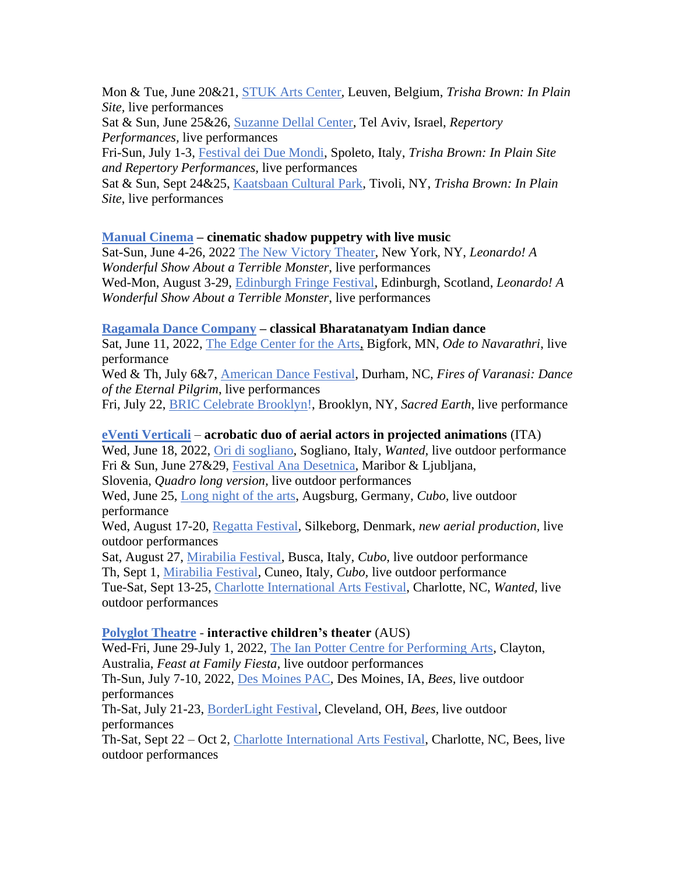Mon & Tue, June 20&21, [STUK Arts Center,](https://www.stuk.be/nl/programma/trisha-brown-in-plain-site) Leuven, Belgium, *Trisha Brown: In Plain Site,* live performances

Sat & Sun, June 25&26, [Suzanne Dellal Center,](https://suzannedellal.org.il/en/shows/trisha-brown-dance-company-50-years-of-creation/) Tel Aviv, Israel, *Repertory Performances,* live performances

Fri-Sun, July 1-3, [Festival dei Due Mondi,](https://festivaldispoleto.com/en/events/event/astral-converted-working-title/) Spoleto, Italy, *Trisha Brown: In Plain Site and Repertory Performances,* live performances

Sat & Sun, Sept 24&25, [Kaatsbaan Cultural Park,](https://kaatsbaan.org/festivals) Tivoli, NY, *Trisha Brown: In Plain Site*, live performances

# **[Manual Cinema](http://www.elsieman.org/artist-roster/manual-cinema/) – cinematic shadow puppetry with live music**

Sat-Sun, June 4-26, 2022 [The New Victory Theater,](https://www.newvictory.org/tickets-and-events/2122-live-performance-leonardo/) New York, NY, *Leonardo! A Wonderful Show About a Terrible Monster*, live performances Wed-Mon, August 3-29, [Edinburgh Fringe Festival,](https://tickets.edfringe.com/whats-on/manual-cinema-presents-leonardo-a-wonderful-show-about-a-terrible-monster) Edinburgh, Scotland, *Leonardo! A Wonderful Show About a Terrible Monster*, live performances

#### **[Ragamala Dance Company](https://www.elsieman.org/artist-roster/ragamala-dance-company/) – classical Bharatanatyam Indian dance**

Sat, June 11, 2022, [The Edge Center for the Arts,](https://edgecenterarts.org/) Bigfork, MN, *Ode to Navarathri*, live performance

Wed & Th, July 6&7, [American Dance Festival,](https://americandancefestival.org/event/ragamala-dance-company/2022-07-06/) Durham, NC, *Fires of Varanasi: Dance of the Eternal Pilgrim*, live performances

Fri, July 22, [BRIC Celebrate Brooklyn!](https://www.bricartsmedia.org/bric-celebrate-brooklyn-festival), Brooklyn, NY, *Sacred Earth*, live performance

#### **[eVenti Verticali](http://www.elsieman.org/artist-roster/eventi-verticali-italy/)** – **acrobatic duo of aerial actors in projected animations** (ITA)

Wed, June 18, 2022, [Ori di sogliano,](https://oridisogliano.it/) Sogliano, Italy, *Wanted,* live outdoor performance Fri & Sun, June 27&29, [Festival Ana Desetnica,](https://www.anamonro.si/en/pillar/ana-desetnica/) Maribor & Ljubljana,

Slovenia, *Quadro long version,* live outdoor performances

Wed, June 25, [Long night of the arts,](https://www.langekunstnacht.de/programm/219-eventi_verticali_(italien)_%E2%80%93_cubo) Augsburg, Germany, *Cubo,* live outdoor performance

Wed, August 17-20, [Regatta Festival,](https://regattasilkeborg.dk/) Silkeborg, Denmark, *new aerial production,* live outdoor performances

Sat, August 27, [Mirabilia Festival,](https://www.festivalmirabilia.it/mirabilia-2022) Busca, Italy, *Cubo,* live outdoor performance Th, Sept 1, [Mirabilia Festival,](https://www.festivalmirabilia.it/mirabilia-2022) Cuneo, Italy, *Cubo,* live outdoor performance Tue-Sat, Sept 13-25, [Charlotte International Arts Festival,](https://www.charlotteartsfest.com/) Charlotte, NC, *Wanted,* live outdoor performances

## **[Polyglot](https://www.elsieman.org/artist-roster/polyglot-theatre/) Theatre - interactive children's theater** (AUS)

Wed-Fri, June 29-July 1, 2022, [The Ian Potter Centre for Performing Arts,](https://www.monash.edu/performing-arts-centres/event/feast/) Clayton, Australia, *Feast at Family Fiesta,* live outdoor performances Th-Sun, July 7-10, 2022, [Des Moines PAC,](https://desmoinesperformingarts.org/events/?s=all&f=all&v=grid) Des Moines, IA, *Bees,* live outdoor performances

Th-Sat, July 21-23, [BorderLight Festival,](https://www.borderlightcle.org/bees/) Cleveland, OH, *Bees,* live outdoor performances

Th-Sat, Sept 22 – Oct 2, [Charlotte International Arts Festival,](https://www.charlotteartsfest.com/) Charlotte, NC, Bees, live outdoor performances